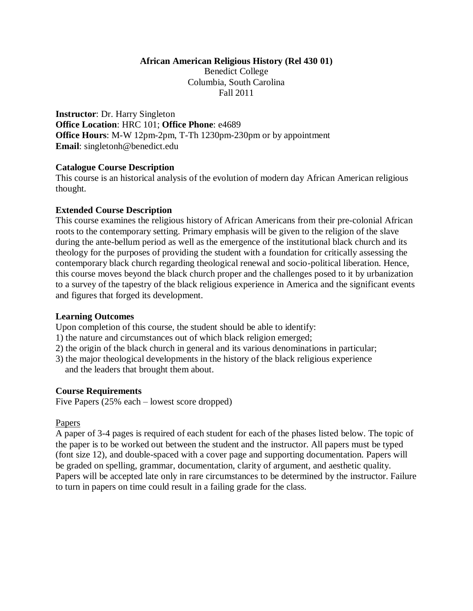#### **African American Religious History (Rel 430 01)**

Benedict College Columbia, South Carolina Fall 2011

**Instructor**: Dr. Harry Singleton **Office Location**: HRC 101; **Office Phone**: e4689 **Office Hours**: M-W 12pm-2pm, T-Th 1230pm-230pm or by appointment **Email**: singletonh@benedict.edu

#### **Catalogue Course Description**

This course is an historical analysis of the evolution of modern day African American religious thought.

#### **Extended Course Description**

This course examines the religious history of African Americans from their pre-colonial African roots to the contemporary setting. Primary emphasis will be given to the religion of the slave during the ante-bellum period as well as the emergence of the institutional black church and its theology for the purposes of providing the student with a foundation for critically assessing the contemporary black church regarding theological renewal and socio-political liberation. Hence, this course moves beyond the black church proper and the challenges posed to it by urbanization to a survey of the tapestry of the black religious experience in America and the significant events and figures that forged its development.

## **Learning Outcomes**

Upon completion of this course, the student should be able to identify:

- 1) the nature and circumstances out of which black religion emerged;
- 2) the origin of the black church in general and its various denominations in particular;
- 3) the major theological developments in the history of the black religious experience and the leaders that brought them about.

## **Course Requirements**

Five Papers (25% each – lowest score dropped)

## Papers

A paper of 3-4 pages is required of each student for each of the phases listed below. The topic of the paper is to be worked out between the student and the instructor. All papers must be typed (font size 12), and double-spaced with a cover page and supporting documentation. Papers will be graded on spelling, grammar, documentation, clarity of argument, and aesthetic quality. Papers will be accepted late only in rare circumstances to be determined by the instructor. Failure to turn in papers on time could result in a failing grade for the class.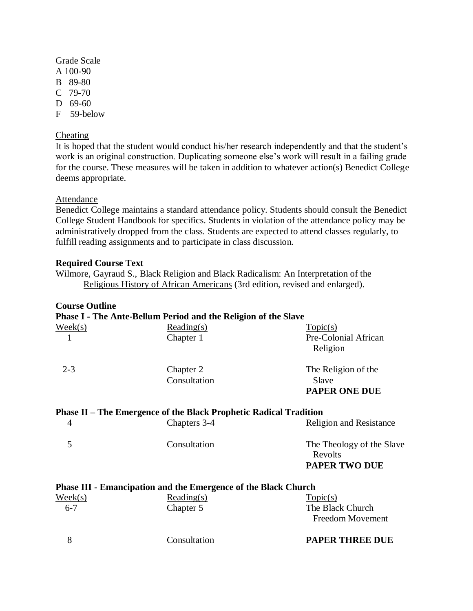## Grade Scale

- A 100-90
- B 89-80
- C 79-70
- D 69-60
- F 59-below

# **Cheating**

It is hoped that the student would conduct his/her research independently and that the student's work is an original construction. Duplicating someone else's work will result in a failing grade for the course. These measures will be taken in addition to whatever action(s) Benedict College deems appropriate.

## Attendance

Benedict College maintains a standard attendance policy. Students should consult the Benedict College Student Handbook for specifics. Students in violation of the attendance policy may be administratively dropped from the class. Students are expected to attend classes regularly, to fulfill reading assignments and to participate in class discussion.

## **Required Course Text**

| Wilmore, Gayraud S., Black Religion and Black Radicalism: An Interpretation of the |                                                                             |  |  |
|------------------------------------------------------------------------------------|-----------------------------------------------------------------------------|--|--|
|                                                                                    | Religious History of African Americans (3rd edition, revised and enlarged). |  |  |

# **Course Outline**

# **Phase I - The Ante-Bellum Period and the Religion of the Slave**

| $\text{Week}(s)$ | Reading(s)                                                               | Topic(s)                                             |
|------------------|--------------------------------------------------------------------------|------------------------------------------------------|
|                  | Chapter 1                                                                | Pre-Colonial African<br>Religion                     |
| $2 - 3$          | Chapter 2<br>Consultation                                                | The Religion of the<br>Slave<br><b>PAPER ONE DUE</b> |
|                  | <b>Phase II – The Emergence of the Black Prophetic Radical Tradition</b> |                                                      |
| 4                | Chapters 3-4                                                             | <b>Religion and Resistance</b>                       |
| 5                | Consultation                                                             | The Theology of the Slave<br>Revolts                 |
|                  |                                                                          | <b>PAPER TWO DUE</b>                                 |
|                  | <b>Phase III - Emancipation and the Emergence of the Black Church</b>    |                                                      |
| $\text{Week}(s)$ | Reading(s)                                                               | Topic(s)                                             |

| $6 - 7$ | Chapter 5    | The Black Church<br>Freedom Movement |
|---------|--------------|--------------------------------------|
|         | Consultation | <b>PAPER THREE DUE</b>               |